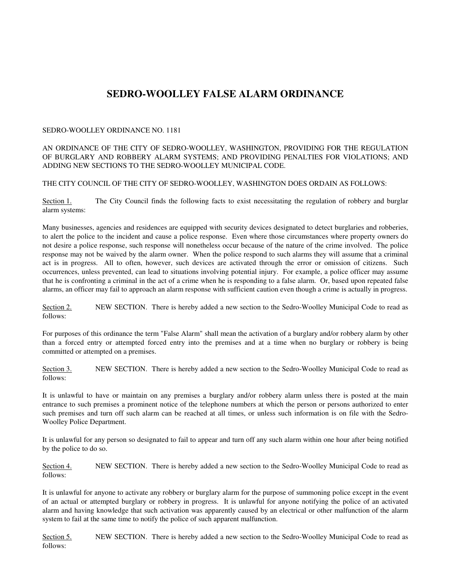## **SEDRO-WOOLLEY FALSE ALARM ORDINANCE**

## SEDRO-WOOLLEY ORDINANCE NO. 1181

## AN ORDINANCE OF THE CITY OF SEDRO-WOOLLEY, WASHINGTON, PROVIDING FOR THE REGULATION OF BURGLARY AND ROBBERY ALARM SYSTEMS; AND PROVIDING PENALTIES FOR VIOLATIONS; AND ADDING NEW SECTIONS TO THE SEDRO-WOOLLEY MUNICIPAL CODE.

## THE CITY COUNCIL OF THE CITY OF SEDRO-WOOLLEY, WASHINGTON DOES ORDAIN AS FOLLOWS:

Section 1. The City Council finds the following facts to exist necessitating the regulation of robbery and burglar alarm systems:

Many businesses, agencies and residences are equipped with security devices designated to detect burglaries and robberies, to alert the police to the incident and cause a police response. Even where those circumstances where property owners do not desire a police response, such response will nonetheless occur because of the nature of the crime involved. The police response may not be waived by the alarm owner. When the police respond to such alarms they will assume that a criminal act is in progress. All to often, however, such devices are activated through the error or omission of citizens. Such occurrences, unless prevented, can lead to situations involving potential injury. For example, a police officer may assume that he is confronting a criminal in the act of a crime when he is responding to a false alarm. Or, based upon repeated false alarms, an officer may fail to approach an alarm response with sufficient caution even though a crime is actually in progress.

Section 2. NEW SECTION. There is hereby added a new section to the Sedro-Woolley Municipal Code to read as follows:

For purposes of this ordinance the term "False Alarm" shall mean the activation of a burglary and/or robbery alarm by other than a forced entry or attempted forced entry into the premises and at a time when no burglary or robbery is being committed or attempted on a premises.

Section 3. NEW SECTION. There is hereby added a new section to the Sedro-Woolley Municipal Code to read as follows:

It is unlawful to have or maintain on any premises a burglary and/or robbery alarm unless there is posted at the main entrance to such premises a prominent notice of the telephone numbers at which the person or persons authorized to enter such premises and turn off such alarm can be reached at all times, or unless such information is on file with the Sedro-Woolley Police Department.

It is unlawful for any person so designated to fail to appear and turn off any such alarm within one hour after being notified by the police to do so.

Section 4. NEW SECTION. There is hereby added a new section to the Sedro-Woolley Municipal Code to read as follows:

It is unlawful for anyone to activate any robbery or burglary alarm for the purpose of summoning police except in the event of an actual or attempted burglary or robbery in progress. It is unlawful for anyone notifying the police of an activated alarm and having knowledge that such activation was apparently caused by an electrical or other malfunction of the alarm system to fail at the same time to notify the police of such apparent malfunction.

Section 5. NEW SECTION. There is hereby added a new section to the Sedro-Woolley Municipal Code to read as follows: